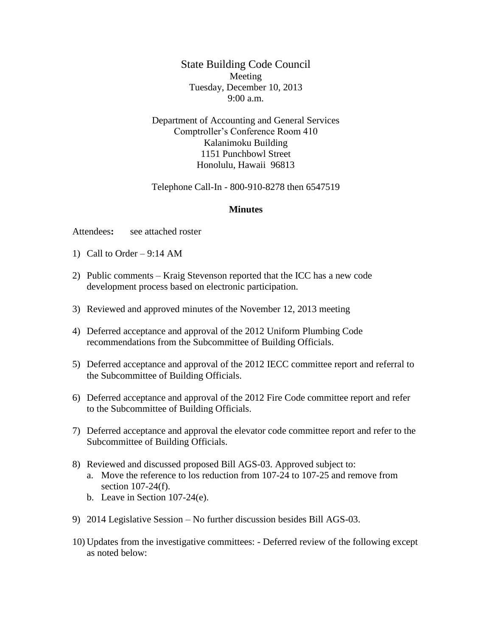State Building Code Council Meeting Tuesday, December 10, 2013 9:00 a.m.

Department of Accounting and General Services Comptroller's Conference Room 410 Kalanimoku Building 1151 Punchbowl Street Honolulu, Hawaii 96813

Telephone Call-In - 800-910-8278 then 6547519

## **Minutes**

Attendees**:** see attached roster

- 1) Call to Order  $9:14$  AM
- 2) Public comments Kraig Stevenson reported that the ICC has a new code development process based on electronic participation.
- 3) Reviewed and approved minutes of the November 12, 2013 meeting
- 4) Deferred acceptance and approval of the 2012 Uniform Plumbing Code recommendations from the Subcommittee of Building Officials.
- 5) Deferred acceptance and approval of the 2012 IECC committee report and referral to the Subcommittee of Building Officials.
- 6) Deferred acceptance and approval of the 2012 Fire Code committee report and refer to the Subcommittee of Building Officials.
- 7) Deferred acceptance and approval the elevator code committee report and refer to the Subcommittee of Building Officials.
- 8) Reviewed and discussed proposed Bill AGS-03. Approved subject to: a. Move the reference to los reduction from 107-24 to 107-25 and remove from section 107-24(f).
	- b. Leave in Section 107-24(e).
- 9) 2014 Legislative Session No further discussion besides Bill AGS-03.
- 10) Updates from the investigative committees: Deferred review of the following except as noted below: